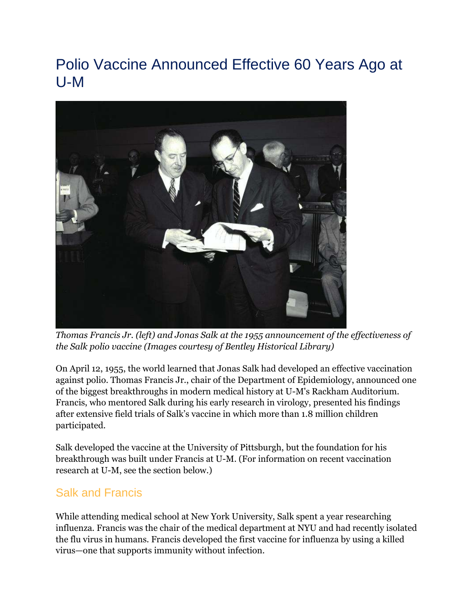# Polio Vaccine Announced Effective 60 Years Ago at U-M



*Thomas Francis Jr. (left) and Jonas Salk at the 1955 announcement of the effectiveness of the Salk polio vaccine (Images courtesy of Bentley Historical Library)*

On April 12, 1955, the world learned that Jonas Salk had developed an effective vaccination against polio. Thomas Francis Jr., chair of the Department of Epidemiology, announced one of the biggest breakthroughs in modern medical history at U-M's Rackham Auditorium. Francis, who mentored Salk during his early research in virology, presented his findings after extensive field trials of Salk's vaccine in which more than 1.8 million children participated.

Salk developed the vaccine at the University of Pittsburgh, but the foundation for his breakthrough was built under Francis at U-M. (For information on recent vaccination research at U-M, see the section below.)

### Salk and Francis

While attending medical school at New York University, Salk spent a year researching influenza. Francis was the chair of the medical department at NYU and had recently isolated the flu virus in humans. Francis developed the first vaccine for influenza by using a killed virus—one that supports immunity without infection.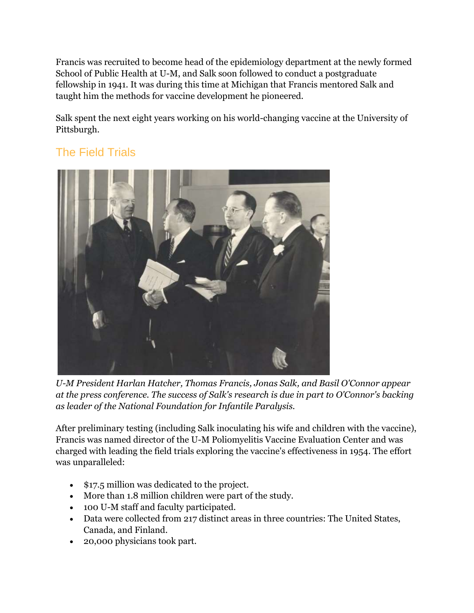Francis was recruited to become head of the epidemiology department at the newly formed School of Public Health at U-M, and Salk soon followed to conduct a postgraduate fellowship in 1941. It was during this time at Michigan that Francis mentored Salk and taught him the methods for vaccine development he pioneered.

Salk spent the next eight years working on his world-changing vaccine at the University of Pittsburgh.

## The Field Trials



*U-M President Harlan Hatcher, Thomas Francis, Jonas Salk, and Basil O'Connor appear at the press conference. The success of Salk's research is due in part to O'Connor's backing as leader of the National Foundation for Infantile Paralysis.*

After preliminary testing (including Salk inoculating his wife and children with the vaccine), Francis was named director of the U-M Poliomyelitis Vaccine Evaluation Center and was charged with leading the field trials exploring the vaccine's effectiveness in 1954. The effort was unparalleled:

- \$17.5 million was dedicated to the project.
- More than 1.8 million children were part of the study.
- 100 U-M staff and faculty participated.
- Data were collected from 217 distinct areas in three countries: The United States, Canada, and Finland.
- 20,000 physicians took part.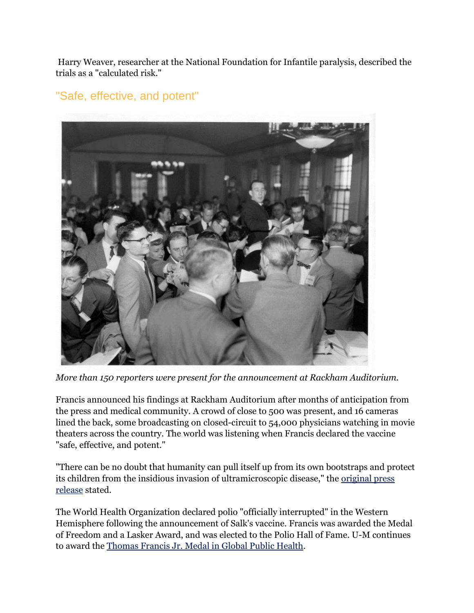Harry Weaver, researcher at the National Foundation for Infantile paralysis, described the trials as a "calculated risk."

#### "Safe, effective, and potent"



*More than 150 reporters were present for the announcement at Rackham Auditorium.*

Francis announced his findings at Rackham Auditorium after months of anticipation from the press and medical community. A crowd of close to 500 was present, and 16 cameras lined the back, some broadcasting on closed-circuit to 54,000 physicians watching in movie theaters across the country. The world was listening when Francis declared the vaccine "safe, effective, and potent."

"There can be no doubt that humanity can pull itself up from its own bootstraps and protect its children from the insidious invasion of ultramicroscopic disease," the [original press](http://sph.umich.edu/polio/#video)  [release](http://sph.umich.edu/polio/#video) stated.

The World Health Organization declared polio "officially interrupted" in the Western Hemisphere following the announcement of Salk's vaccine. Francis was awarded the Medal of Freedom and a Lasker Award, and was elected to the Polio Hall of Fame. U-M continues to award the [Thomas Francis Jr. Medal in Global Public Health.](http://www.francismedal.umich.edu/medal/index.html)